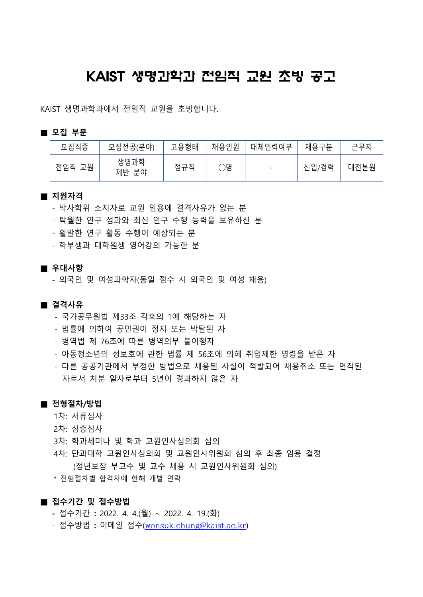## KAIST 생명과학과 전임직 교원 초빙 공고

KAIST 생명과학과에서 전임직 교원을 초빙합니다.

#### **■ 모집 부문**

| 모집직종      | 모집전공(분야)      | 고용형태 | 채용인원 | 대체인력여부                   | 채용<br>ᄀᄇ | $\sqcap \sqcup \sqcap$<br>$-\Lambda$ |
|-----------|---------------|------|------|--------------------------|----------|--------------------------------------|
| 전임직<br>교원 | 생명과학<br>제반 분야 | 정규직  | )명   | $\overline{\phantom{a}}$ | 신입/경력    | 대전본원                                 |

#### **■ 지원자격**

- 박사학위 소지자로 교원 임용에 결격사유가 없는 분
- 탁월한 연구 성과와 최신 연구 수행 능력을 보유하신 분
- 활발한 연구 활동 수행이 예상되는 분
- 학부생과 대학원생 영어강의 가능한 분

#### **■ 우대사항**

- 외국인 및 여성과학자(동일 점수 시 외국인 및 여성 채용)

#### **■ 결격사유**

- 국가공무원법 제33조 각호의 1에 해당하는 자
- 법률에 의하여 공민권이 정지 또는 박탈된 자
- 병역법 제 76조에 따른 병역의무 불이행자
- 아동청소년의 성보호에 관한 법률 제 56조에 의해 취업제한 명령을 받은 자
- 다른 공공기관에서 부정한 방법으로 채용된 사실이 적발되어 채용취소 또는 면직된 자로서 처분 일자로부터 5년이 경과하지 않은 자

#### **■ 전형절차/방법**

- 1차: 서류심사
- 2차: 심층심사
- 3차: 학과세미나 및 학과 교원인사심의회 심의
- 4차: 단과대학 교원인사심의회 및 교원인사위원회 심의 후 최종 임용 결정 (정년보장 부교수 및 교수 채용 시 교원인사위원회 심의)
- \* 전형절차별 합격자에 한해 개별 연락

#### **■ 접수기간 및 접수방법**

- 접수기간 **:** 2022. 4. 4.(월) ~ 2022. 4. 19.(화)
- 접수방법 **:** 이메일 접수([wonsuk.chung@kaist.ac.kr](mailto:wonsuk.chung@kaist.ac.kr))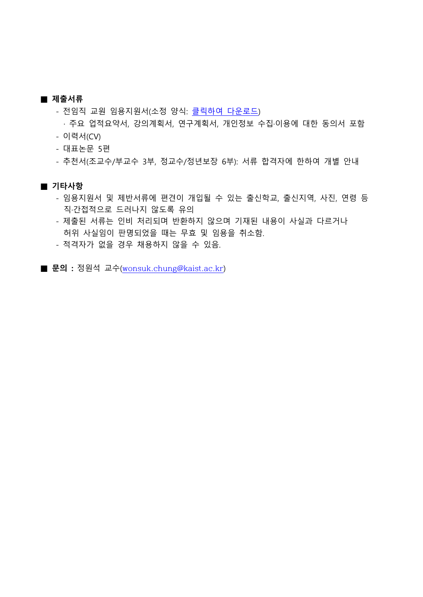#### **■ 제출서류**

- 전임직 교원 임용지원서(소정 양식: <u>클릭하여 다운로드</u>)<br>· 주요 업적요약서, 강의계획서, 연구계획서, 개인정보 수집·이용에 대한 동의서 포함 - 이력서(CV)

- 대표논문 5편
- 추천서(조교수/부교수 3부, 정교수/정년보장 6부): 서류 합격자에 한하여 개별 안내

#### **■ 기타사항**

- 임용지원서 및 제반서류에 편견이 개입될 수 있는 출신학교, 출신지역, 사진, 연령 등 직·간접적으로 드러나지 않도록 유의
- 제출된 서류는 인비 처리되며 반환하지 않으며 기재된 내용이 사실과 다르거나 허위 사실임이 판명되었을 때는 무효 및 임용을 취소함.
- 적격자가 없을 경우 채용하지 않을 수 있음.
- **문의 :** 정원석 교수([wonsuk.chung@kaist.ac.kr](mailto:wonsuk.chung@kaist.ac.kr))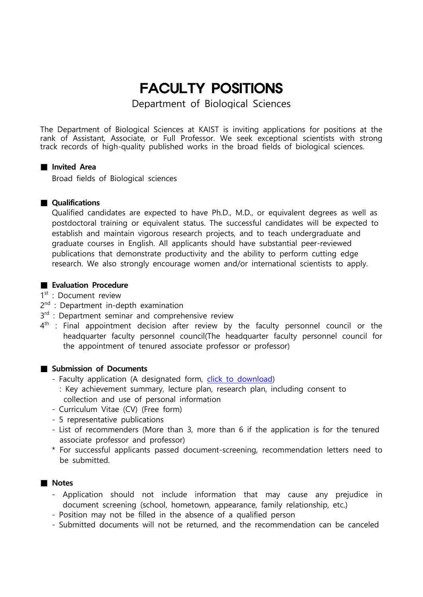# FACULTY POSITIONS

Department of Biological Sciences

The Department of Biological Sciences at KAIST is inviting applications for positions at the rank of Assistant, Associate, or Full Professor. We seek exceptional scientists with strong track records of high-quality published works in the broad fields of biological sciences.

#### **■ Invited Area**

Broad fields of Biological sciences

#### **■ Qualifications**

Qualified candidates are expected to have Ph.D., M.D., or equivalent degrees as well as postdoctoral training or equivalent status. The successful candidates will be expected to establish and maintain vigorous research projects, and to teach undergraduate and graduate courses in English. All applicants should have substantial peer-reviewed publications that demonstrate productivity and the ability to perform cutting edge research. We also strongly encourage women and/or international scientists to apply.

#### ■ **Evaluation Procedure**

1st : Document review

- 2<sup>nd</sup> : Department in-depth examination
- 3<sup>rd</sup> : Department seminar and comprehensive review
- $4^{\text{th}}$  : Final appointment decision after review by the faculty personnel council or the headquarter faculty personnel council(The headquarter faculty personnel council for the appointment of tenured associate professor or professor)

#### ■ Submission of Documents

- 
- Faculty application (A designated form, *click to download*)<br>External including consent to : Key achievement summary, lecture plan, research plan, including consent to collection and use of personal information
- Curriculum Vitae (CV) (Free form) 5 representative publications
- 
- List of recommenders (More than 3, more than 6 if the application is for the tenured associate professor and professor)
- \* For successful applicants passed document-screening, recommendation letters need to be submitted.

#### **■ Notes**

- Application should not include information that may cause any prejudice in document screening (school, hometown, appearance, family relationship, etc.) - Position may not be filled in the absence of a qualified person
- 
- Submitted documents will not be returned, and the recommendation can be canceled